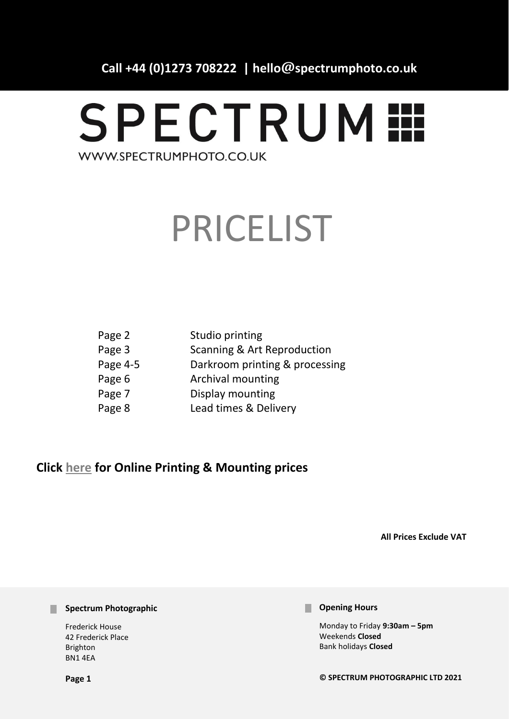**Call +44 (0)1273 708222 | hello@spectrumphoto.co.uk**

# **SPECTRUM !!!** WWW.SPECTRUMPHOTO.CO.UK

# PRICELIST

| Page 2   | Studio printing                |
|----------|--------------------------------|
| Page 3   | Scanning & Art Reproduction    |
| Page 4-5 | Darkroom printing & processing |
| Page 6   | <b>Archival mounting</b>       |
| Page 7   | Display mounting               |
| Page 8   | Lead times & Delivery          |

# **Click [here](https://spectrumphoto.co.uk/pricing) for Online Printing & Mounting prices**

**All Prices Exclude VAT** 

#### **Spectrum Photographic**

Frederick House 42 Frederick Place Brighton BN1 4EA

#### **Parage Hours**

Monday to Friday **9:30am – 5pm** Weekends **Closed**  Bank holidays **Closed**

**© SPECTRUM PHOTOGRAPHIC LTD 2021**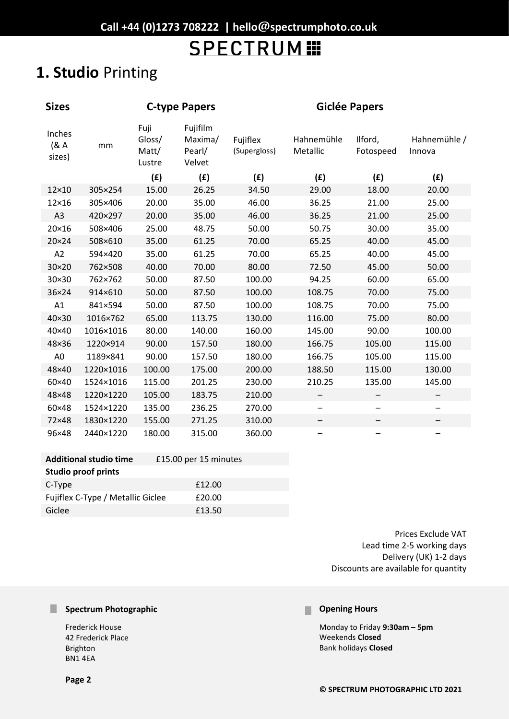# **1. Studio** Printing

| <b>Sizes</b>             |                               | <b>C-type Papers</b>              |                                         |                          | <b>Giclée Papers</b>   |                          |                        |
|--------------------------|-------------------------------|-----------------------------------|-----------------------------------------|--------------------------|------------------------|--------------------------|------------------------|
| Inches<br>(8A)<br>sizes) | mm                            | Fuji<br>Gloss/<br>Matt/<br>Lustre | Fujifilm<br>Maxima/<br>Pearl/<br>Velvet | Fujiflex<br>(Supergloss) | Hahnemühle<br>Metallic | Ilford,<br>Fotospeed     | Hahnemühle /<br>Innova |
|                          |                               | (f)                               | (E)                                     | (f)                      | (f)                    | (E)                      | (f)                    |
| 12×10                    | 305×254                       | 15.00                             | 26.25                                   | 34.50                    | 29.00                  | 18.00                    | 20.00                  |
| $12\times16$             | 305×406                       | 20.00                             | 35.00                                   | 46.00                    | 36.25                  | 21.00                    | 25.00                  |
| A3                       | 420×297                       | 20.00                             | 35.00                                   | 46.00                    | 36.25                  | 21.00                    | 25.00                  |
| 20×16                    | 508×406                       | 25.00                             | 48.75                                   | 50.00                    | 50.75                  | 30.00                    | 35.00                  |
| 20×24                    | 508×610                       | 35.00                             | 61.25                                   | 70.00                    | 65.25                  | 40.00                    | 45.00                  |
| A2                       | 594×420                       | 35.00                             | 61.25                                   | 70.00                    | 65.25                  | 40.00                    | 45.00                  |
| 30×20                    | 762×508                       | 40.00                             | 70.00                                   | 80.00                    | 72.50                  | 45.00                    | 50.00                  |
| 30×30                    | 762×762                       | 50.00                             | 87.50                                   | 100.00                   | 94.25                  | 60.00                    | 65.00                  |
| 36×24                    | 914×610                       | 50.00                             | 87.50                                   | 100.00                   | 108.75                 | 70.00                    | 75.00                  |
| A1                       | 841×594                       | 50.00                             | 87.50                                   | 100.00                   | 108.75                 | 70.00                    | 75.00                  |
| 40×30                    | 1016×762                      | 65.00                             | 113.75                                  | 130.00                   | 116.00                 | 75.00                    | 80.00                  |
| 40×40                    | 1016×1016                     | 80.00                             | 140.00                                  | 160.00                   | 145.00                 | 90.00                    | 100.00                 |
| 48×36                    | 1220×914                      | 90.00                             | 157.50                                  | 180.00                   | 166.75                 | 105.00                   | 115.00                 |
| A <sub>0</sub>           | 1189×841                      | 90.00                             | 157.50                                  | 180.00                   | 166.75                 | 105.00                   | 115.00                 |
| 48×40                    | 1220×1016                     | 100.00                            | 175.00                                  | 200.00                   | 188.50                 | 115.00                   | 130.00                 |
| 60×40                    | 1524×1016                     | 115.00                            | 201.25                                  | 230.00                   | 210.25                 | 135.00                   | 145.00                 |
| 48×48                    | 1220×1220                     | 105.00                            | 183.75                                  | 210.00                   |                        |                          | —                      |
| 60×48                    | 1524×1220                     | 135.00                            | 236.25                                  | 270.00                   |                        | $\overline{\phantom{0}}$ |                        |
| 72×48                    | 1830×1220                     | 155.00                            | 271.25                                  | 310.00                   |                        |                          |                        |
| 96×48                    | 2440×1220                     | 180.00                            | 315.00                                  | 360.00                   |                        |                          | -                      |
|                          | <b>Additional studio time</b> |                                   | £15.00 per 15 minutes                   |                          |                        |                          |                        |

| <b>Studio proof prints</b>        |        |
|-----------------------------------|--------|
| C-Type                            | £12.00 |
| Fujiflex C-Type / Metallic Giclee | £20.00 |
| Giclee                            | £13.50 |

Prices Exclude VAT Lead time 2-5 working days Delivery (UK) 1-2 days Discounts are available for quantity

### **Spectrum Photographic**

Frederick House 42 Frederick Place Brighton BN1 4EA

#### **Opening Hours** П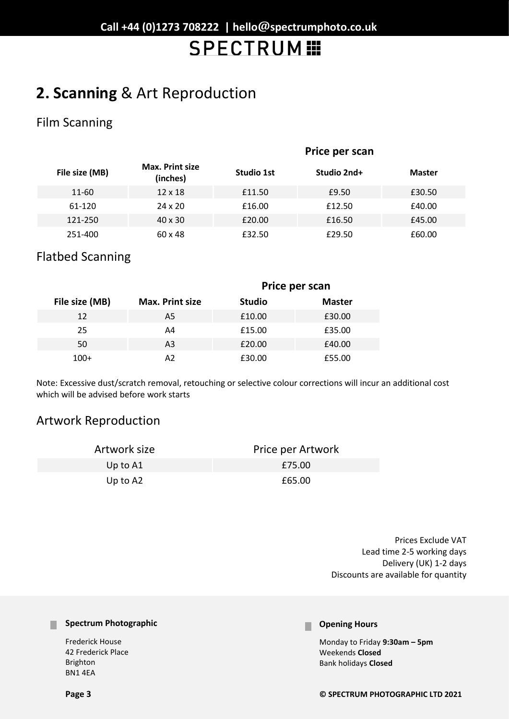# **2. Scanning** & Art Reproduction

# Film Scanning

|                |                                    | Price per scan |             |               |  |
|----------------|------------------------------------|----------------|-------------|---------------|--|
| File size (MB) | <b>Max. Print size</b><br>(inches) | Studio 1st     | Studio 2nd+ | <b>Master</b> |  |
| 11-60          | $12 \times 18$                     | £11.50         | £9.50       | £30.50        |  |
| 61-120         | $24 \times 20$                     | £16.00         | £12.50      | £40.00        |  |
| 121-250        | $40 \times 30$                     | £20.00         | £16.50      | £45.00        |  |
| 251-400        | $60 \times 48$                     | £32.50         | £29.50      | £60.00        |  |

## Flatbed Scanning

|                |                        | Price per scan |               |  |
|----------------|------------------------|----------------|---------------|--|
| File size (MB) | <b>Max. Print size</b> | <b>Studio</b>  | <b>Master</b> |  |
| 12             | A5                     | £10.00         | £30.00        |  |
| 25             | A4                     | £15.00         | £35.00        |  |
| 50             | A <sub>3</sub>         | £20.00         | £40.00        |  |
| $100+$         | A2                     | £30.00         | £55.00        |  |

Note: Excessive dust/scratch removal, retouching or selective colour corrections will incur an additional cost which will be advised before work starts

# Artwork Reproduction

| Artwork size | Price per Artwork |
|--------------|-------------------|
| Up to A1     | £75.00            |
| Up to $A2$   | £65.00            |

Prices Exclude VAT Lead time 2-5 working days Delivery (UK) 1-2 days Discounts are available for quantity

#### **Spectrum Photographic**

Frederick House 42 Frederick Place Brighton BN1 4EA

#### **Opening Hours** n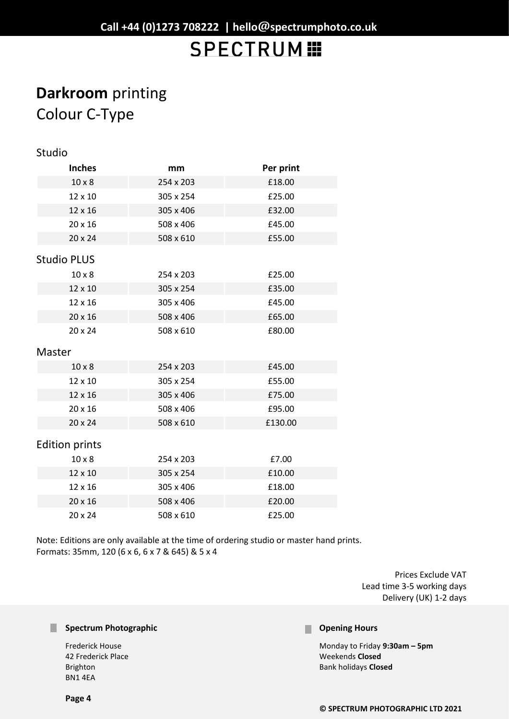# **Darkroom** printing Colour C-Type

| Studio                |           |           |  |  |  |
|-----------------------|-----------|-----------|--|--|--|
| <b>Inches</b>         | mm        | Per print |  |  |  |
| $10 \times 8$         | 254 x 203 | £18.00    |  |  |  |
| 12 x 10               | 305 x 254 | £25.00    |  |  |  |
| 12 x 16               | 305 x 406 | £32.00    |  |  |  |
| 20 x 16               | 508 x 406 | £45.00    |  |  |  |
| 20 x 24               | 508 x 610 | £55.00    |  |  |  |
| <b>Studio PLUS</b>    |           |           |  |  |  |
| $10 \times 8$         | 254 x 203 | £25.00    |  |  |  |
| 12 x 10               | 305 x 254 | £35.00    |  |  |  |
| 12 x 16               | 305 x 406 | £45.00    |  |  |  |
| 20 x 16               | 508 x 406 | £65.00    |  |  |  |
| $20 \times 24$        | 508 x 610 | £80.00    |  |  |  |
| Master                |           |           |  |  |  |
| $10 \times 8$         | 254 x 203 | £45.00    |  |  |  |
| 12 x 10               | 305 x 254 | £55.00    |  |  |  |
| 12 x 16               | 305 x 406 | £75.00    |  |  |  |
| 20 x 16               | 508 x 406 | £95.00    |  |  |  |
| 20 x 24               | 508 x 610 | £130.00   |  |  |  |
| <b>Edition prints</b> |           |           |  |  |  |
| $10 \times 8$         | 254 x 203 | £7.00     |  |  |  |
| 12 x 10               | 305 x 254 | £10.00    |  |  |  |
| 12 x 16               | 305 x 406 | £18.00    |  |  |  |
| $20 \times 16$        | 508 x 406 | £20.00    |  |  |  |

Note: Editions are only available at the time of ordering studio or master hand prints. Formats: 35mm, 120 (6 x 6, 6 x 7 & 645) & 5 x 4

20 x 24 508 x 610 £25.00

Prices Exclude VAT Lead time 3-5 working days Delivery (UK) 1-2 days

#### **Spectrum Photographic**

Frederick House 42 Frederick Place Brighton BN1 4EA

#### **Opening Hours** ٠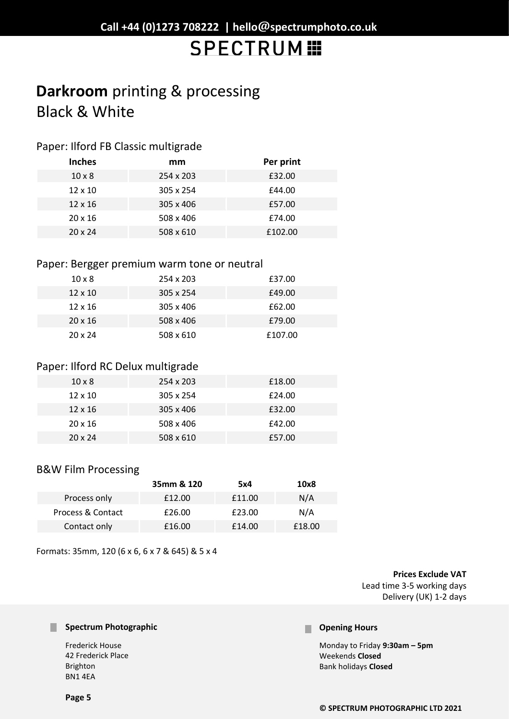# **Darkroom** printing & processing Black & White

### Paper: Ilford FB Classic multigrade

| <b>Inches</b>  | mm        | Per print |
|----------------|-----------|-----------|
| $10 \times 8$  | 254 x 203 | £32.00    |
| $12 \times 10$ | 305 x 254 | £44.00    |
| $12 \times 16$ | 305 x 406 | £57.00    |
| $20 \times 16$ | 508 x 406 | £74.00    |
| $20 \times 24$ | 508 x 610 | £102.00   |

### Paper: Bergger premium warm tone or neutral

| $10 \times 8$  | 254 x 203        | £37.00  |
|----------------|------------------|---------|
| $12 \times 10$ | $305 \times 254$ | £49.00  |
| $12 \times 16$ | 305 x 406        | £62.00  |
| $20 \times 16$ | 508 x 406        | £79.00  |
| $20 \times 24$ | 508 x 610        | £107.00 |

### Paper: Ilford RC Delux multigrade

| $10 \times 8$  | 254 x 203 | £18.00 |
|----------------|-----------|--------|
| $12 \times 10$ | 305 x 254 | £24.00 |
| $12 \times 16$ | 305 x 406 | £32.00 |
| $20 \times 16$ | 508 x 406 | £42.00 |
| $20 \times 24$ | 508 x 610 | £57.00 |

### B&W Film Processing

|                   | 35mm & 120 | 5x4    | 10x8   |
|-------------------|------------|--------|--------|
| Process only      | £12.00     | £11.00 | N/A    |
| Process & Contact | £26.00     | £23.00 | N/A    |
| Contact only      | £16.00     | £14.00 | £18.00 |

Formats: 35mm, 120 (6 x 6, 6 x 7 & 645) & 5 x 4

**Prices Exclude VAT** 

Lead time 3-5 working days Delivery (UK) 1-2 days

#### **Spectrum Photographic**

Frederick House 42 Frederick Place Brighton BN1 4EA

#### **Parage Hours**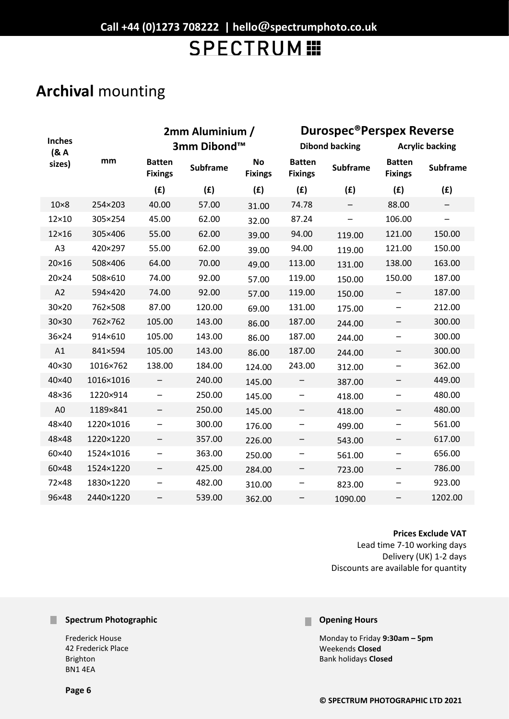# **Archival** mounting

|                       | 2mm Aluminium / |                                 |                 | <b>Durospec®Perspex Reverse</b> |                                 |                       |                                 |                          |
|-----------------------|-----------------|---------------------------------|-----------------|---------------------------------|---------------------------------|-----------------------|---------------------------------|--------------------------|
| <b>Inches</b><br>(8A) |                 |                                 | 3mm Dibond™     |                                 |                                 | <b>Dibond backing</b> |                                 | <b>Acrylic backing</b>   |
| sizes)                | mm              | <b>Batten</b><br><b>Fixings</b> | <b>Subframe</b> | <b>No</b><br><b>Fixings</b>     | <b>Batten</b><br><b>Fixings</b> | <b>Subframe</b>       | <b>Batten</b><br><b>Fixings</b> | <b>Subframe</b>          |
|                       |                 | (E)                             | (E)             | (f)                             | (f)                             | (f)                   | (E)                             | (f)                      |
| $10\times8$           | 254×203         | 40.00                           | 57.00           | 31.00                           | 74.78                           |                       | 88.00                           |                          |
| 12×10                 | 305×254         | 45.00                           | 62.00           | 32.00                           | 87.24                           | —                     | 106.00                          | $\overline{\phantom{0}}$ |
| $12\times16$          | 305×406         | 55.00                           | 62.00           | 39.00                           | 94.00                           | 119.00                | 121.00                          | 150.00                   |
| A <sub>3</sub>        | 420×297         | 55.00                           | 62.00           | 39.00                           | 94.00                           | 119.00                | 121.00                          | 150.00                   |
| 20×16                 | 508×406         | 64.00                           | 70.00           | 49.00                           | 113.00                          | 131.00                | 138.00                          | 163.00                   |
| 20×24                 | 508×610         | 74.00                           | 92.00           | 57.00                           | 119.00                          | 150.00                | 150.00                          | 187.00                   |
| A2                    | 594×420         | 74.00                           | 92.00           | 57.00                           | 119.00                          | 150.00                |                                 | 187.00                   |
| 30×20                 | 762×508         | 87.00                           | 120.00          | 69.00                           | 131.00                          | 175.00                | —                               | 212.00                   |
| 30×30                 | 762×762         | 105.00                          | 143.00          | 86.00                           | 187.00                          | 244.00                |                                 | 300.00                   |
| 36×24                 | 914×610         | 105.00                          | 143.00          | 86.00                           | 187.00                          | 244.00                | -                               | 300.00                   |
| A1                    | 841×594         | 105.00                          | 143.00          | 86.00                           | 187.00                          | 244.00                |                                 | 300.00                   |
| 40×30                 | 1016×762        | 138.00                          | 184.00          | 124.00                          | 243.00                          | 312.00                | -                               | 362.00                   |
| 40×40                 | 1016×1016       | $\qquad \qquad -$               | 240.00          | 145.00                          | -                               | 387.00                | $\overline{\phantom{0}}$        | 449.00                   |
| 48×36                 | 1220×914        | $\qquad \qquad \qquad$          | 250.00          | 145.00                          | -                               | 418.00                | —                               | 480.00                   |
| A <sub>0</sub>        | 1189×841        | $\overline{\phantom{0}}$        | 250.00          | 145.00                          | -                               | 418.00                | $\qquad \qquad -$               | 480.00                   |
| 48×40                 | 1220×1016       | —                               | 300.00          | 176.00                          | —                               | 499.00                | —                               | 561.00                   |
| 48×48                 | 1220×1220       | —                               | 357.00          | 226.00                          | —                               | 543.00                | $\overline{\phantom{0}}$        | 617.00                   |
| 60×40                 | 1524×1016       | —                               | 363.00          | 250.00                          |                                 | 561.00                |                                 | 656.00                   |
| 60×48                 | 1524×1220       |                                 | 425.00          | 284.00                          |                                 | 723.00                |                                 | 786.00                   |
| 72×48                 | 1830×1220       | $\overline{\phantom{m}}$        | 482.00          | 310.00                          | -                               | 823.00                |                                 | 923.00                   |
| 96×48                 | 2440×1220       | —                               | 539.00          | 362.00                          |                                 | 1090.00               |                                 | 1202.00                  |

### **Prices Exclude VAT**

Lead time 7-10 working days Delivery (UK) 1-2 days Discounts are available for quantity

### **Spectrum Photographic**

Frederick House 42 Frederick Place Brighton BN1 4EA

#### **Opening Hours** П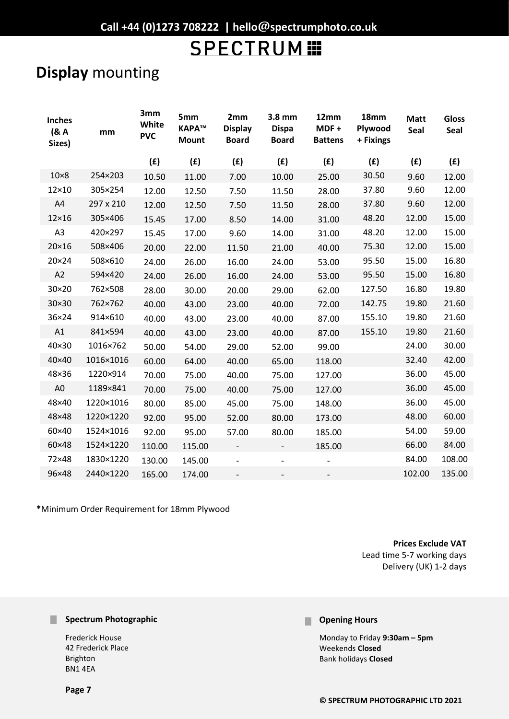# **Display** mounting

| <b>Inches</b><br>(8A)<br>Sizes) | mm        | 3mm<br>White<br><b>PVC</b> | 5mm<br>КАРА™<br><b>Mount</b> | 2mm<br><b>Display</b><br><b>Board</b> | 3.8 mm<br><b>Dispa</b><br><b>Board</b> | 12mm<br>MDF+<br><b>Battens</b> | 18mm<br>Plywood<br>+ Fixings | <b>Matt</b><br>Seal | <b>Gloss</b><br>Seal |
|---------------------------------|-----------|----------------------------|------------------------------|---------------------------------------|----------------------------------------|--------------------------------|------------------------------|---------------------|----------------------|
|                                 |           | (f)                        | (f)                          | (E)                                   | (f)                                    | (f)                            | (f)                          | (f)                 | (f)                  |
| $10\times8$                     | 254×203   | 10.50                      | 11.00                        | 7.00                                  | 10.00                                  | 25.00                          | 30.50                        | 9.60                | 12.00                |
| 12×10                           | 305×254   | 12.00                      | 12.50                        | 7.50                                  | 11.50                                  | 28.00                          | 37.80                        | 9.60                | 12.00                |
| A4                              | 297 x 210 | 12.00                      | 12.50                        | 7.50                                  | 11.50                                  | 28.00                          | 37.80                        | 9.60                | 12.00                |
| $12\times16$                    | 305×406   | 15.45                      | 17.00                        | 8.50                                  | 14.00                                  | 31.00                          | 48.20                        | 12.00               | 15.00                |
| A3                              | 420×297   | 15.45                      | 17.00                        | 9.60                                  | 14.00                                  | 31.00                          | 48.20                        | 12.00               | 15.00                |
| 20×16                           | 508×406   | 20.00                      | 22.00                        | 11.50                                 | 21.00                                  | 40.00                          | 75.30                        | 12.00               | 15.00                |
| 20×24                           | 508×610   | 24.00                      | 26.00                        | 16.00                                 | 24.00                                  | 53.00                          | 95.50                        | 15.00               | 16.80                |
| A2                              | 594×420   | 24.00                      | 26.00                        | 16.00                                 | 24.00                                  | 53.00                          | 95.50                        | 15.00               | 16.80                |
| 30×20                           | 762×508   | 28.00                      | 30.00                        | 20.00                                 | 29.00                                  | 62.00                          | 127.50                       | 16.80               | 19.80                |
| 30×30                           | 762×762   | 40.00                      | 43.00                        | 23.00                                 | 40.00                                  | 72.00                          | 142.75                       | 19.80               | 21.60                |
| 36×24                           | 914×610   | 40.00                      | 43.00                        | 23.00                                 | 40.00                                  | 87.00                          | 155.10                       | 19.80               | 21.60                |
| A1                              | 841×594   | 40.00                      | 43.00                        | 23.00                                 | 40.00                                  | 87.00                          | 155.10                       | 19.80               | 21.60                |
| 40×30                           | 1016×762  | 50.00                      | 54.00                        | 29.00                                 | 52.00                                  | 99.00                          |                              | 24.00               | 30.00                |
| 40×40                           | 1016×1016 | 60.00                      | 64.00                        | 40.00                                 | 65.00                                  | 118.00                         |                              | 32.40               | 42.00                |
| 48×36                           | 1220×914  | 70.00                      | 75.00                        | 40.00                                 | 75.00                                  | 127.00                         |                              | 36.00               | 45.00                |
| A <sub>0</sub>                  | 1189×841  | 70.00                      | 75.00                        | 40.00                                 | 75.00                                  | 127.00                         |                              | 36.00               | 45.00                |
| 48×40                           | 1220×1016 | 80.00                      | 85.00                        | 45.00                                 | 75.00                                  | 148.00                         |                              | 36.00               | 45.00                |
| 48×48                           | 1220×1220 | 92.00                      | 95.00                        | 52.00                                 | 80.00                                  | 173.00                         |                              | 48.00               | 60.00                |
| 60×40                           | 1524×1016 | 92.00                      | 95.00                        | 57.00                                 | 80.00                                  | 185.00                         |                              | 54.00               | 59.00                |
| 60×48                           | 1524×1220 | 110.00                     | 115.00                       | $\qquad \qquad -$                     |                                        | 185.00                         |                              | 66.00               | 84.00                |
| 72×48                           | 1830×1220 | 130.00                     | 145.00                       | $\overline{\phantom{a}}$              |                                        |                                |                              | 84.00               | 108.00               |
| 96×48                           | 2440×1220 | 165.00                     | 174.00                       | $\overline{\phantom{a}}$              |                                        | $\overline{\phantom{a}}$       |                              | 102.00              | 135.00               |
|                                 |           |                            |                              |                                       |                                        |                                |                              |                     |                      |

**\***Minimum Order Requirement for 18mm Plywood

**Prices Exclude VAT** 

Lead time 5-7 working days Delivery (UK) 1-2 days

#### **Spectrum Photographic**

Frederick House 42 Frederick Place Brighton BN1 4EA

#### **Page 7**

#### **Opening Hours** П